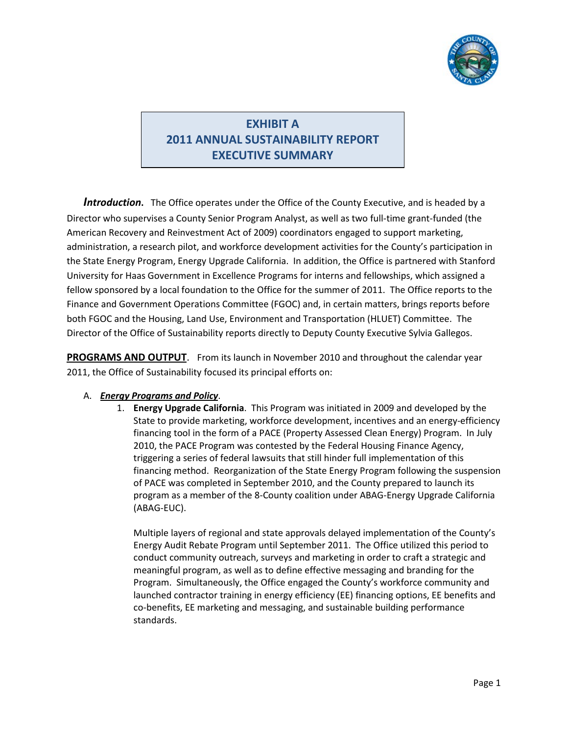

## **EXHIBIT A 2011 ANNUAL SUSTAINABILITY REPORT EXECUTIVE SUMMARY**

*Introduction***.** The Office operates under the Office of the County Executive, and is headed by a Director who supervises a County Senior Program Analyst, as well as two full-time grant-funded (the American Recovery and Reinvestment Act of 2009) coordinators engaged to support marketing, administration, a research pilot, and workforce development activities for the County's participation in the State Energy Program, Energy Upgrade California. In addition, the Office is partnered with Stanford University for Haas Government in Excellence Programs for interns and fellowships, which assigned a fellow sponsored by a local foundation to the Office for the summer of 2011. The Office reports to the Finance and Government Operations Committee (FGOC) and, in certain matters, brings reports before both FGOC and the Housing, Land Use, Environment and Transportation (HLUET) Committee. The Director of the Office of Sustainability reports directly to Deputy County Executive Sylvia Gallegos.

**PROGRAMS AND OUTPUT**. From its launch in November 2010 and throughout the calendar year 2011, the Office of Sustainability focused its principal efforts on:

## A. *Energy Programs and Policy*.

1. **Energy Upgrade California**. This Program was initiated in 2009 and developed by the State to provide marketing, workforce development, incentives and an energy-efficiency financing tool in the form of a PACE (Property Assessed Clean Energy) Program. In July 2010, the PACE Program was contested by the Federal Housing Finance Agency, triggering a series of federal lawsuits that still hinder full implementation of this financing method. Reorganization of the State Energy Program following the suspension of PACE was completed in September 2010, and the County prepared to launch its program as a member of the 8-County coalition under ABAG-Energy Upgrade California (ABAG-EUC).

Multiple layers of regional and state approvals delayed implementation of the County's Energy Audit Rebate Program until September 2011. The Office utilized this period to conduct community outreach, surveys and marketing in order to craft a strategic and meaningful program, as well as to define effective messaging and branding for the Program. Simultaneously, the Office engaged the County's workforce community and launched contractor training in energy efficiency (EE) financing options, EE benefits and co-benefits, EE marketing and messaging, and sustainable building performance standards.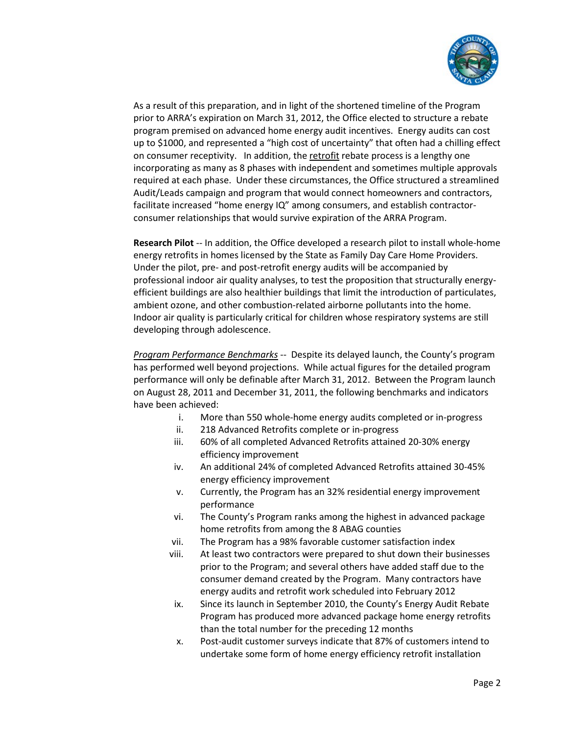

As a result of this preparation, and in light of the shortened timeline of the Program prior to ARRA's expiration on March 31, 2012, the Office elected to structure a rebate program premised on advanced home energy audit incentives. Energy audits can cost up to \$1000, and represented a "high cost of uncertainty" that often had a chilling effect on consumer receptivity. In addition, the retrofit rebate process is a lengthy one incorporating as many as 8 phases with independent and sometimes multiple approvals required at each phase. Under these circumstances, the Office structured a streamlined Audit/Leads campaign and program that would connect homeowners and contractors, facilitate increased "home energy IQ" among consumers, and establish contractorconsumer relationships that would survive expiration of the ARRA Program.

**Research Pilot** -- In addition, the Office developed a research pilot to install whole-home energy retrofits in homes licensed by the State as Family Day Care Home Providers. Under the pilot, pre- and post-retrofit energy audits will be accompanied by professional indoor air quality analyses, to test the proposition that structurally energyefficient buildings are also healthier buildings that limit the introduction of particulates, ambient ozone, and other combustion-related airborne pollutants into the home. Indoor air quality is particularly critical for children whose respiratory systems are still developing through adolescence.

*Program Performance Benchmarks* -- Despite its delayed launch, the County's program has performed well beyond projections. While actual figures for the detailed program performance will only be definable after March 31, 2012. Between the Program launch on August 28, 2011 and December 31, 2011, the following benchmarks and indicators have been achieved:

- i. More than 550 whole-home energy audits completed or in-progress
- ii. 218 Advanced Retrofits complete or in-progress
- iii. 60% of all completed Advanced Retrofits attained 20-30% energy efficiency improvement
- iv. An additional 24% of completed Advanced Retrofits attained 30-45% energy efficiency improvement
- v. Currently, the Program has an 32% residential energy improvement performance
- vi. The County's Program ranks among the highest in advanced package home retrofits from among the 8 ABAG counties
- vii. The Program has a 98% favorable customer satisfaction index
- viii. At least two contractors were prepared to shut down their businesses prior to the Program; and several others have added staff due to the consumer demand created by the Program. Many contractors have energy audits and retrofit work scheduled into February 2012
- ix. Since its launch in September 2010, the County's Energy Audit Rebate Program has produced more advanced package home energy retrofits than the total number for the preceding 12 months
- x. Post-audit customer surveys indicate that 87% of customers intend to undertake some form of home energy efficiency retrofit installation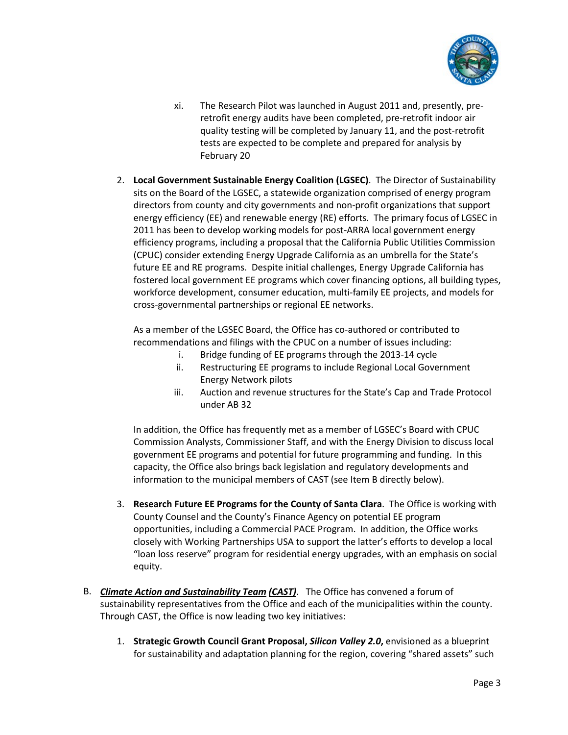

- xi. The Research Pilot was launched in August 2011 and, presently, preretrofit energy audits have been completed, pre-retrofit indoor air quality testing will be completed by January 11, and the post-retrofit tests are expected to be complete and prepared for analysis by February 20
- 2. **Local Government Sustainable Energy Coalition (LGSEC)**. The Director of Sustainability sits on the Board of the LGSEC, a statewide organization comprised of energy program directors from county and city governments and non-profit organizations that support energy efficiency (EE) and renewable energy (RE) efforts. The primary focus of LGSEC in 2011 has been to develop working models for post-ARRA local government energy efficiency programs, including a proposal that the California Public Utilities Commission (CPUC) consider extending Energy Upgrade California as an umbrella for the State's future EE and RE programs. Despite initial challenges, Energy Upgrade California has fostered local government EE programs which cover financing options, all building types, workforce development, consumer education, multi-family EE projects, and models for cross-governmental partnerships or regional EE networks.

As a member of the LGSEC Board, the Office has co-authored or contributed to recommendations and filings with the CPUC on a number of issues including:

- i. Bridge funding of EE programs through the 2013-14 cycle
- ii. Restructuring EE programs to include Regional Local Government Energy Network pilots
- iii. Auction and revenue structures for the State's Cap and Trade Protocol under AB 32

In addition, the Office has frequently met as a member of LGSEC's Board with CPUC Commission Analysts, Commissioner Staff, and with the Energy Division to discuss local government EE programs and potential for future programming and funding. In this capacity, the Office also brings back legislation and regulatory developments and information to the municipal members of CAST (see Item B directly below).

- 3. **Research Future EE Programs for the County of Santa Clara**. The Office is working with County Counsel and the County's Finance Agency on potential EE program opportunities, including a Commercial PACE Program. In addition, the Office works closely with Working Partnerships USA to support the latter's efforts to develop a local "loan loss reserve" program for residential energy upgrades, with an emphasis on social equity.
- B. *Climate Action and Sustainability Team (CAST)*. The Office has convened a forum of sustainability representatives from the Office and each of the municipalities within the county. Through CAST, the Office is now leading two key initiatives:
	- 1. **Strategic Growth Council Grant Proposal,** *Silicon Valley 2.0***,** envisioned as a blueprint for sustainability and adaptation planning for the region, covering "shared assets" such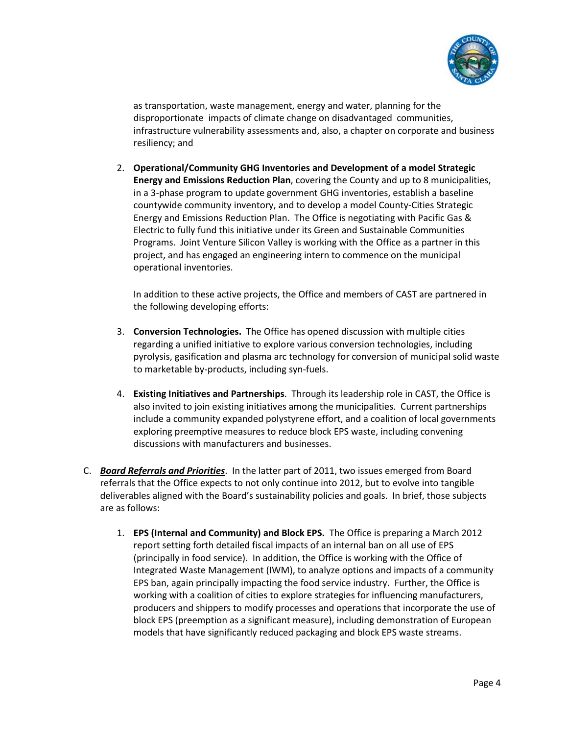

as transportation, waste management, energy and water, planning for the disproportionate impacts of climate change on disadvantaged communities, infrastructure vulnerability assessments and, also, a chapter on corporate and business resiliency; and

2. **Operational/Community GHG Inventories and Development of a model Strategic Energy and Emissions Reduction Plan**, covering the County and up to 8 municipalities, in a 3-phase program to update government GHG inventories, establish a baseline countywide community inventory, and to develop a model County-Cities Strategic Energy and Emissions Reduction Plan. The Office is negotiating with Pacific Gas & Electric to fully fund this initiative under its Green and Sustainable Communities Programs. Joint Venture Silicon Valley is working with the Office as a partner in this project, and has engaged an engineering intern to commence on the municipal operational inventories.

In addition to these active projects, the Office and members of CAST are partnered in the following developing efforts:

- 3. **Conversion Technologies.** The Office has opened discussion with multiple cities regarding a unified initiative to explore various conversion technologies, including pyrolysis, gasification and plasma arc technology for conversion of municipal solid waste to marketable by-products, including syn-fuels.
- 4. **Existing Initiatives and Partnerships**. Through its leadership role in CAST, the Office is also invited to join existing initiatives among the municipalities. Current partnerships include a community expanded polystyrene effort, and a coalition of local governments exploring preemptive measures to reduce block EPS waste, including convening discussions with manufacturers and businesses.
- C. *Board Referrals and Priorities*. In the latter part of 2011, two issues emerged from Board referrals that the Office expects to not only continue into 2012, but to evolve into tangible deliverables aligned with the Board's sustainability policies and goals. In brief, those subjects are as follows:
	- 1. **EPS (Internal and Community) and Block EPS.** The Office is preparing a March 2012 report setting forth detailed fiscal impacts of an internal ban on all use of EPS (principally in food service). In addition, the Office is working with the Office of Integrated Waste Management (IWM), to analyze options and impacts of a community EPS ban, again principally impacting the food service industry. Further, the Office is working with a coalition of cities to explore strategies for influencing manufacturers, producers and shippers to modify processes and operations that incorporate the use of block EPS (preemption as a significant measure), including demonstration of European models that have significantly reduced packaging and block EPS waste streams.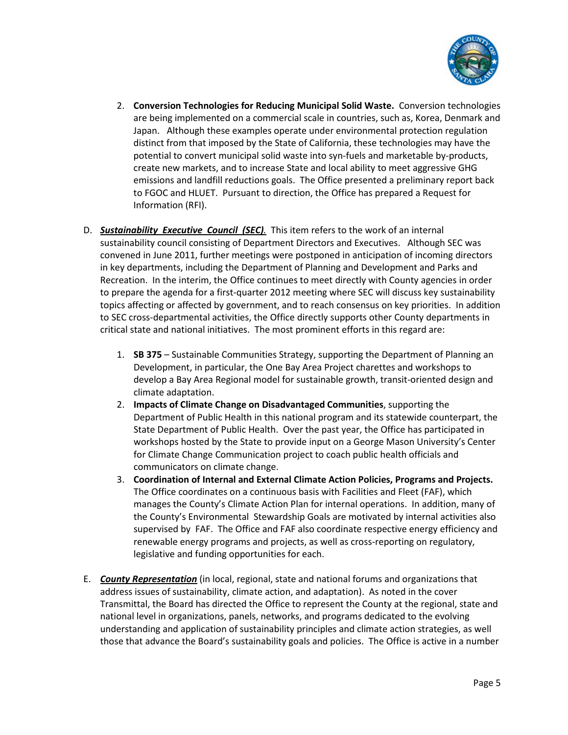

- 2. **Conversion Technologies for Reducing Municipal Solid Waste.** Conversion technologies are being implemented on a commercial scale in countries, such as, Korea, Denmark and Japan. Although these examples operate under environmental protection regulation distinct from that imposed by the State of California, these technologies may have the potential to convert municipal solid waste into syn-fuels and marketable by-products, create new markets, and to increase State and local ability to meet aggressive GHG emissions and landfill reductions goals. The Office presented a preliminary report back to FGOC and HLUET. Pursuant to direction, the Office has prepared a Request for Information (RFI).
- D. *Sustainability Executive Council (SEC).* This item refers to the work of an internal sustainability council consisting of Department Directors and Executives. Although SEC was convened in June 2011, further meetings were postponed in anticipation of incoming directors in key departments, including the Department of Planning and Development and Parks and Recreation. In the interim, the Office continues to meet directly with County agencies in order to prepare the agenda for a first-quarter 2012 meeting where SEC will discuss key sustainability topics affecting or affected by government, and to reach consensus on key priorities. In addition to SEC cross-departmental activities, the Office directly supports other County departments in critical state and national initiatives. The most prominent efforts in this regard are:
	- 1. **SB 375**  Sustainable Communities Strategy, supporting the Department of Planning an Development, in particular, the One Bay Area Project charettes and workshops to develop a Bay Area Regional model for sustainable growth, transit-oriented design and climate adaptation.
	- 2. **Impacts of Climate Change on Disadvantaged Communities**, supporting the Department of Public Health in this national program and its statewide counterpart, the State Department of Public Health. Over the past year, the Office has participated in workshops hosted by the State to provide input on a George Mason University's Center for Climate Change Communication project to coach public health officials and communicators on climate change.
	- 3. **Coordination of Internal and External Climate Action Policies, Programs and Projects.**  The Office coordinates on a continuous basis with Facilities and Fleet (FAF), which manages the County's Climate Action Plan for internal operations. In addition, many of the County's Environmental Stewardship Goals are motivated by internal activities also supervised by FAF. The Office and FAF also coordinate respective energy efficiency and renewable energy programs and projects, as well as cross-reporting on regulatory, legislative and funding opportunities for each.
- E. *County Representation* (in local, regional, state and national forums and organizations that address issues of sustainability, climate action, and adaptation). As noted in the cover Transmittal, the Board has directed the Office to represent the County at the regional, state and national level in organizations, panels, networks, and programs dedicated to the evolving understanding and application of sustainability principles and climate action strategies, as well those that advance the Board's sustainability goals and policies. The Office is active in a number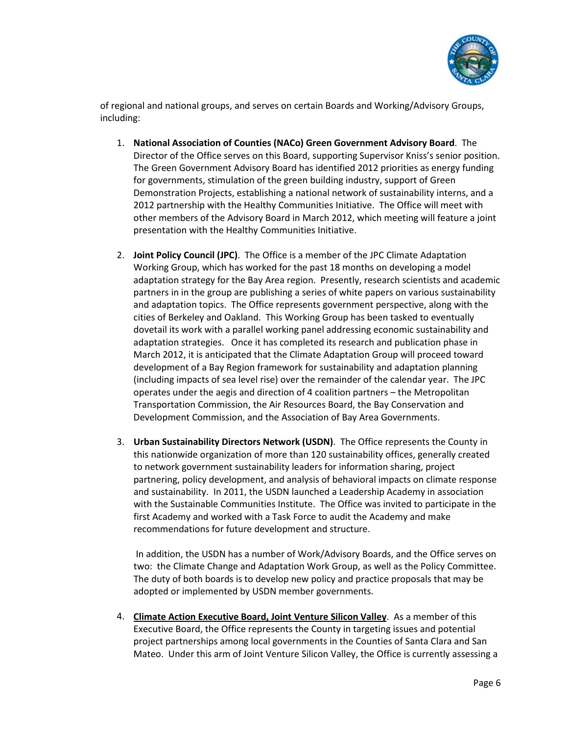

of regional and national groups, and serves on certain Boards and Working/Advisory Groups, including:

- 1. **National Association of Counties (NACo) Green Government Advisory Board**. The Director of the Office serves on this Board, supporting Supervisor Kniss's senior position. The Green Government Advisory Board has identified 2012 priorities as energy funding for governments, stimulation of the green building industry, support of Green Demonstration Projects, establishing a national network of sustainability interns, and a 2012 partnership with the Healthy Communities Initiative. The Office will meet with other members of the Advisory Board in March 2012, which meeting will feature a joint presentation with the Healthy Communities Initiative.
- 2. **Joint Policy Council (JPC)**. The Office is a member of the JPC Climate Adaptation Working Group, which has worked for the past 18 months on developing a model adaptation strategy for the Bay Area region. Presently, research scientists and academic partners in in the group are publishing a series of white papers on various sustainability and adaptation topics. The Office represents government perspective, along with the cities of Berkeley and Oakland. This Working Group has been tasked to eventually dovetail its work with a parallel working panel addressing economic sustainability and adaptation strategies. Once it has completed its research and publication phase in March 2012, it is anticipated that the Climate Adaptation Group will proceed toward development of a Bay Region framework for sustainability and adaptation planning (including impacts of sea level rise) over the remainder of the calendar year. The JPC operates under the aegis and direction of 4 coalition partners – the Metropolitan Transportation Commission, the Air Resources Board, the Bay Conservation and Development Commission, and the Association of Bay Area Governments.
- 3. **Urban Sustainability Directors Network (USDN)**. The Office represents the County in this nationwide organization of more than 120 sustainability offices, generally created to network government sustainability leaders for information sharing, project partnering, policy development, and analysis of behavioral impacts on climate response and sustainability. In 2011, the USDN launched a Leadership Academy in association with the Sustainable Communities Institute. The Office was invited to participate in the first Academy and worked with a Task Force to audit the Academy and make recommendations for future development and structure.

In addition, the USDN has a number of Work/Advisory Boards, and the Office serves on two: the Climate Change and Adaptation Work Group, as well as the Policy Committee. The duty of both boards is to develop new policy and practice proposals that may be adopted or implemented by USDN member governments.

4. **Climate Action Executive Board, Joint Venture Silicon Valley**. As a member of this Executive Board, the Office represents the County in targeting issues and potential project partnerships among local governments in the Counties of Santa Clara and San Mateo. Under this arm of Joint Venture Silicon Valley, the Office is currently assessing a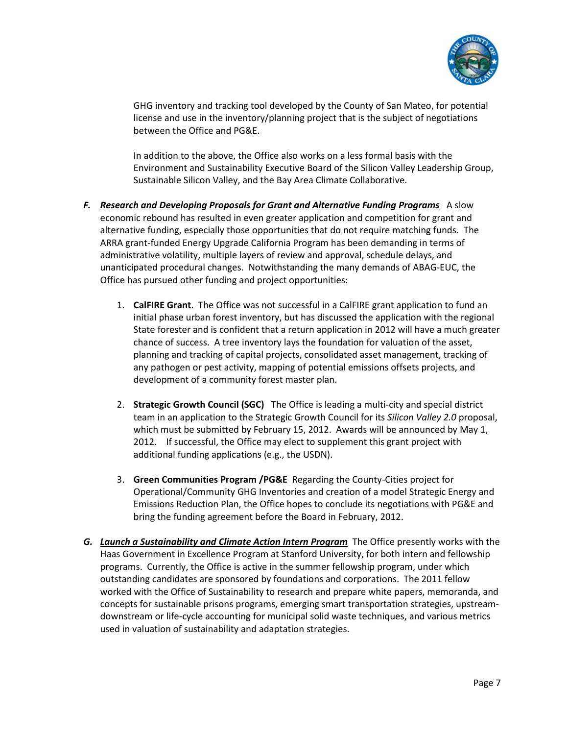

GHG inventory and tracking tool developed by the County of San Mateo, for potential license and use in the inventory/planning project that is the subject of negotiations between the Office and PG&E.

In addition to the above, the Office also works on a less formal basis with the Environment and Sustainability Executive Board of the Silicon Valley Leadership Group, Sustainable Silicon Valley, and the Bay Area Climate Collaborative.

- *F. Research and Developing Proposals for Grant and Alternative Funding Programs* A slow economic rebound has resulted in even greater application and competition for grant and alternative funding, especially those opportunities that do not require matching funds. The ARRA grant-funded Energy Upgrade California Program has been demanding in terms of administrative volatility, multiple layers of review and approval, schedule delays, and unanticipated procedural changes. Notwithstanding the many demands of ABAG-EUC, the Office has pursued other funding and project opportunities:
	- 1. **CalFIRE Grant**. The Office was not successful in a CalFIRE grant application to fund an initial phase urban forest inventory, but has discussed the application with the regional State forester and is confident that a return application in 2012 will have a much greater chance of success. A tree inventory lays the foundation for valuation of the asset, planning and tracking of capital projects, consolidated asset management, tracking of any pathogen or pest activity, mapping of potential emissions offsets projects, and development of a community forest master plan.
	- 2. **Strategic Growth Council (SGC)** The Office is leading a multi-city and special district team in an application to the Strategic Growth Council for its *Silicon Valley 2.0* proposal, which must be submitted by February 15, 2012. Awards will be announced by May 1, 2012. If successful, the Office may elect to supplement this grant project with additional funding applications (e.g., the USDN).
	- 3. **Green Communities Program /PG&E** Regarding the County-Cities project for Operational/Community GHG Inventories and creation of a model Strategic Energy and Emissions Reduction Plan, the Office hopes to conclude its negotiations with PG&E and bring the funding agreement before the Board in February, 2012.
- *G. Launch a Sustainability and Climate Action Intern Program* The Office presently works with the Haas Government in Excellence Program at Stanford University, for both intern and fellowship programs. Currently, the Office is active in the summer fellowship program, under which outstanding candidates are sponsored by foundations and corporations. The 2011 fellow worked with the Office of Sustainability to research and prepare white papers, memoranda, and concepts for sustainable prisons programs, emerging smart transportation strategies, upstreamdownstream or life-cycle accounting for municipal solid waste techniques, and various metrics used in valuation of sustainability and adaptation strategies.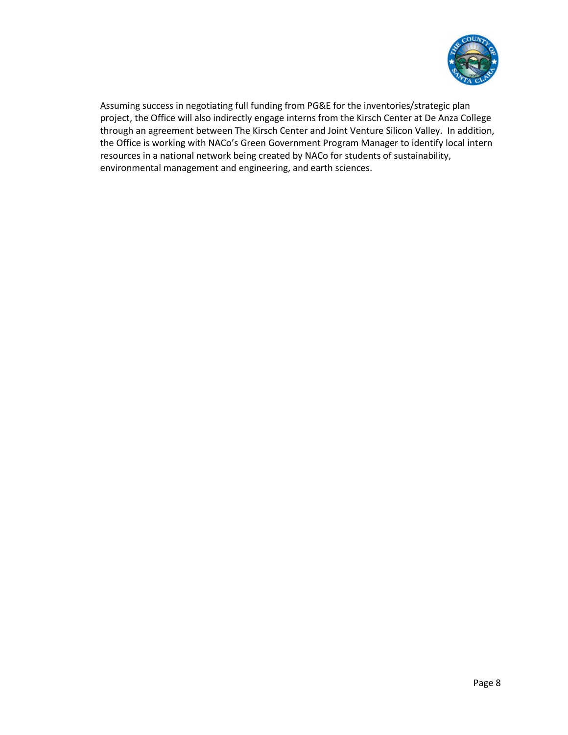

Assuming success in negotiating full funding from PG&E for the inventories/strategic plan project, the Office will also indirectly engage interns from the Kirsch Center at De Anza College through an agreement between The Kirsch Center and Joint Venture Silicon Valley. In addition, the Office is working with NACo's Green Government Program Manager to identify local intern resources in a national network being created by NACo for students of sustainability, environmental management and engineering, and earth sciences.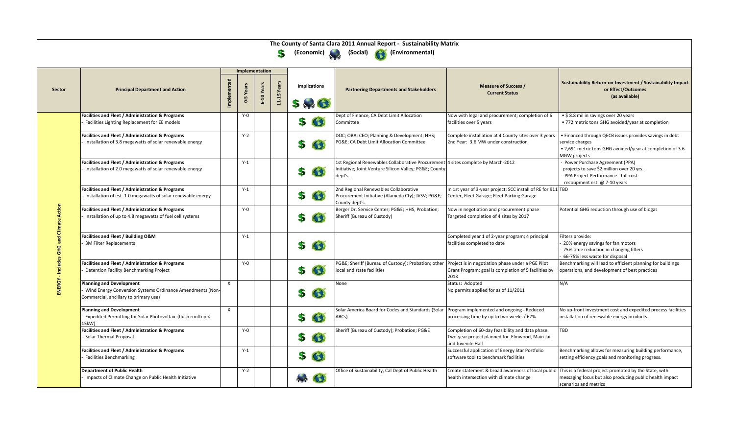|                 |                                                                                                                                |                |                             |            | S                |                                | The County of Santa Clara 2011 Annual Report - Sustainability Matrix<br>(Economic) (Social) (Savironmental)                                          |                                                                                                                          |                                                                                                                                                         |
|-----------------|--------------------------------------------------------------------------------------------------------------------------------|----------------|-----------------------------|------------|------------------|--------------------------------|------------------------------------------------------------------------------------------------------------------------------------------------------|--------------------------------------------------------------------------------------------------------------------------|---------------------------------------------------------------------------------------------------------------------------------------------------------|
|                 |                                                                                                                                | Implementation |                             |            |                  |                                |                                                                                                                                                      |                                                                                                                          |                                                                                                                                                         |
| <b>Sector</b>   | <b>Principal Department and Action</b>                                                                                         |                | Years<br>Lŋ<br>$\mathbf{d}$ | 6-10 Years | Yea<br>$11 - 15$ | <b>Implications</b><br>$5 - 3$ | <b>Partnering Departments and Stakeholders</b>                                                                                                       | <b>Measure of Success /</b><br><b>Current Status</b>                                                                     | Sustainability Return-on-Investment / Sustainability Impact<br>or Effect/Outcomes<br>(as available)                                                     |
|                 | <b>Facilities and Fleet / Administration &amp; Programs</b><br>Facilities Lighting Replacement for EE models                   |                | $Y - 0$                     |            |                  | $\bullet$<br>S                 | Dept of Finance, CA Debt Limit Allocation<br>Committee                                                                                               | Now with legal and procurement; completion of 6<br>facilities over 5 years                                               | • \$8.8 mil in savings over 20 years<br>• 772 metric tons GHG avoided/year at completion                                                                |
|                 | <b>Facilities and Fleet / Administration &amp; Programs</b><br>Installation of 3.8 megawatts of solar renewable energy         |                | $Y-2$                       |            |                  | $\bullet$<br>S                 | DOC; OBA; CEO; Planning & Development; HHS;<br>PG&E CA Debt Limit Allocation Committee                                                               | Complete installation at 4 County sites over 3 years<br>2nd Year: 3.6 MW under construction                              | • Financed through QECB issues provides savings in debt<br>service charges<br>• 2,691 metric tons GHG avoided/year at completion of 3.6<br>MGW projects |
|                 | <b>Facilities and Fleet / Administration &amp; Programs</b><br>Installation of 2.0 megawatts of solar renewable energy         |                | $Y-1$                       |            |                  | 63<br>S                        | 1st Regional Renewables Collaborative Procurement 4 sites complete by March-2012<br>Initiative; Joint Venture Silicon Valley; PG&E County<br>dept's. |                                                                                                                          | Power Purchase Agreement (PPA)<br>projects to save \$2 million over 20 yrs.<br>- PPA Project Performance - full cost<br>recoupment est. @ 7-10 years    |
| ction<br>₫<br>信 | <b>Facilities and Fleet / Administration &amp; Programs</b><br>Installation of est. 1.0 megawatts of solar renewable energy    |                | $Y-1$                       |            |                  | $\bullet$<br>S                 | 2nd Regional Renewables Collaborative<br>Procurement Initiative (Alameda Cty); JVSV; PG&E<br>County dept's.                                          | In 1st year of 3-year project; SCC install of RE for 911 TBD<br>Center, Fleet Garage; Fleet Parking Garage               |                                                                                                                                                         |
|                 | <b>Facilities and Fleet / Administration &amp; Programs</b><br>Installation of up to 4.8 megawatts of fuel cell systems        |                | $Y - 0$                     |            |                  | 63<br>S                        | Berger Dr. Service Center; PG&E HHS, Probation;<br>Sheriff (Bureau of Custody)                                                                       | Now in negotiation and procurement phase<br>Targeted completion of 4 sites by 2017                                       | Potential GHG reduction through use of biogas                                                                                                           |
| <b>UHO</b>      | <b>Facilities and Fleet / Building O&amp;M</b><br><b>3M Filter Replacements</b>                                                |                | $Y-1$                       |            |                  | G<br>\$                        |                                                                                                                                                      | Completed year 1 of 2-year program; 4 principal<br>facilities completed to date                                          | Filters provide:<br>20% energy savings for fan motors<br>75% time reduction in changing filters<br>66-75% less waste for disposal                       |
| Đ               | <b>Facilities and Fleet / Administration &amp; Programs</b><br>Detention Facility Benchmarking Project                         |                | $Y - 0$                     |            |                  | $\bullet$<br>\$                | PG&E Sheriff (Bureau of Custody); Probation; other  Project is in negotiation phase under a PGE Pilot<br>local and state facilities                  | Grant Program; goal is completion of 5 facilities by<br>2013                                                             | Benchmarking will lead to efficient planning for buildings<br>operations, and development of best practices                                             |
| <b>ENERGY</b>   | Planning and Development<br>Wind Energy Conversion Systems Ordinance Amendments (Non-<br>Commercial, ancillary to primary use) | $\mathsf{X}$   |                             |            |                  | $\bullet$<br>S                 | None                                                                                                                                                 | Status: Adopted<br>No permits applied for as of 11/2011                                                                  | N/A                                                                                                                                                     |
|                 | <b>Planning and Development</b><br>Expedited Permitting for Solar Photovoltaic (flush rooftop <<br>15kW)                       | $\mathsf{X}$   |                             |            |                  | G<br>S                         | Solar America Board for Codes and Standards (Solar<br>ABCs)                                                                                          | Program implemented and ongoing - Reduced<br>processing time by up to two weeks / 67%.                                   | No up-front investment cost and expedited process facilities<br>installation of renewable energy products.                                              |
|                 | <b>Facilities and Fleet / Administration &amp; Programs</b><br><b>Solar Thermal Proposal</b>                                   |                | $Y - 0$                     |            |                  | $\bullet$<br>\$                | Sheriff (Bureau of Custody); Probation; PG&E                                                                                                         | Completion of 60-day feasibility and data phase.<br>Two-year project planned for Elmwood, Main Jail<br>and Juvenile Hall | <b>TBD</b>                                                                                                                                              |
|                 | <b>Facilities and Fleet / Administration &amp; Programs</b><br><b>Facilities Benchmarking</b>                                  |                | $Y-1$                       |            |                  | $\bullet$<br>S                 |                                                                                                                                                      | Successful application of Energy Star Portfolio<br>software tool to benchmark facilities                                 | Benchmarking allows for measuring building performance,<br>setting efficiency goals and monitoring progress.                                            |
|                 | <b>Department of Public Health</b><br>Impacts of Climate Change on Public Health Initiative                                    |                | $Y-2$                       |            |                  | $\rightarrow$ $\bullet$        | Office of Sustainability, Cal Dept of Public Health                                                                                                  | Create statement & broad awareness of local public<br>health intersection with climate change                            | This is a federal project promoted by the State, with<br>messaging focus but also producing public health impact<br>scenarios and metrics               |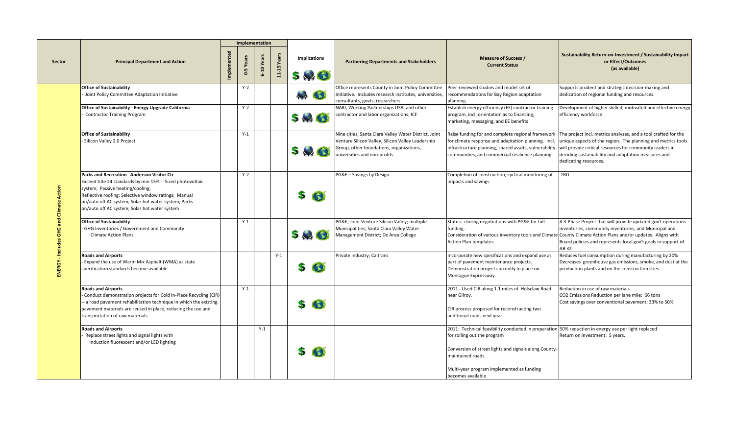|               |                                                                                                                                                                                                                                                                                                                     |        |                | Implementation  |                  |                                |                                                                                                                                                                                        |                                                                                                                                                                                                                                                                                      |                                                                                                                                                                                                                                                                                                                                                                                    |
|---------------|---------------------------------------------------------------------------------------------------------------------------------------------------------------------------------------------------------------------------------------------------------------------------------------------------------------------|--------|----------------|-----------------|------------------|--------------------------------|----------------------------------------------------------------------------------------------------------------------------------------------------------------------------------------|--------------------------------------------------------------------------------------------------------------------------------------------------------------------------------------------------------------------------------------------------------------------------------------|------------------------------------------------------------------------------------------------------------------------------------------------------------------------------------------------------------------------------------------------------------------------------------------------------------------------------------------------------------------------------------|
| <b>Sector</b> | <b>Principal Department and Action</b>                                                                                                                                                                                                                                                                              | Impler | Years<br>$0-5$ | Yea<br>$6 - 10$ | Yea<br>$11 - 15$ | <b>Implications</b><br>$5 - 6$ | <b>Partnering Departments and Stakeholders</b>                                                                                                                                         | <b>Measure of Success /</b><br><b>Current Status</b>                                                                                                                                                                                                                                 | <b>Sustainability Return-on-Investment / Sustainability Impact</b><br>or Effect/Outcomes<br>(as available)                                                                                                                                                                                                                                                                         |
|               | <b>Office of Sustainability</b><br>Joint Policy Committee Adaptation Initiative                                                                                                                                                                                                                                     |        | $Y-2$          |                 |                  | G<br>$\leftarrow$              | Office represents County in Joint Policy Committee<br>Initiative. Includes research institutes, universities,<br>consultants, govts, researchers                                       | Peer-reviewed studies and model set of<br>recommendations for Bay Region adaptation<br>planning                                                                                                                                                                                      | Supports prudent and strategic decision-making and<br>dedication of regional funding and resources.                                                                                                                                                                                                                                                                                |
|               | Office of Sustainability - Energy Upgrade California<br><b>Contractor Training Program</b>                                                                                                                                                                                                                          |        | $Y-2$          |                 |                  | $5 \rightarrow 3$              | NARI, Working Partnerships USA, and other<br>contractor and labor organizations; ICF                                                                                                   | Establish energy efficiency (EE) contractor training<br>program, incl. orientation as to financing,<br>marketing, messaging, and EE benefits                                                                                                                                         | Development of higher skilled, motivated and effective energy<br>efficiency workforce                                                                                                                                                                                                                                                                                              |
|               | <b>Office of Sustainability</b><br>- Silicon Valley 2.0 Project                                                                                                                                                                                                                                                     |        | $Y-1$          |                 |                  | $5 - 3$                        | Nine cities, Santa Clara Valley Water District, Joint<br>Venture Silicon Valley, Silicon Valley Leadership<br>Group, other foundations, organizations,<br>iniversities and non-profits | for climate response and adaptation planning. Incl.<br>communities, and commercial resilience planning.                                                                                                                                                                              | Raise funding for and complete regional framework The project incl. metrics analyses, and a tool crafted for the<br>unique aspects of the region. The planning and metrics tools<br>infrastructure planning, shared assets, vulnerability will provide critical resources for community leaders in<br>deciding sustainability and adaptation measures and<br>dedicating resources. |
|               | <b>Parks and Recreation Anderson Visitor Ctr</b><br>Exceed title 24 standards by min 15% -- Sized photovoltaic<br>system; Passive heating/cooling;<br>Reflective roofing: Selective window ratings; Manual<br>on/auto off AC system; Solar hot water system; Parks<br>on/auto off AC system; Solar hot water system |        | $Y-2$          |                 |                  | S<br>63                        | PG&E - Savings by Design                                                                                                                                                               | Completion of construction; cyclical monitoring of<br>impacts and savings                                                                                                                                                                                                            | TBD                                                                                                                                                                                                                                                                                                                                                                                |
|               | <b>Office of Sustainability</b><br>- GHG Inventories / Government and Community<br><b>Climate Action Plans</b>                                                                                                                                                                                                      |        | $Y-1$          |                 |                  | $5 \rightarrow C$              | PG&E Joint Venture Silicon Valley; multiple<br>Municipalities; Santa Clara Valley Water<br>Management District; De Anza College                                                        | Status: closing negotiations with PG&E for full<br>funding.<br><b>Action Plan templates</b>                                                                                                                                                                                          | A 3-Phase Project that will provide updated gov't operations<br>inventories, community inventories, and Municipal and<br>Consideration of various inventory tools and Climate County Climate Action Plans and/or updates. Aligns with<br>Board policies and represents local gov't goals in support of<br>AB 32.                                                                   |
|               | <b>Roads and Airports</b><br>- Expand the use of Warm Mix Asphalt (WMA) as state<br>specification standards become available.                                                                                                                                                                                       |        |                |                 | $Y-1$            | 56                             | Private industry; Caltrans                                                                                                                                                             | Incorporate new specifications and expand use as<br>part of pavement maintenance projects.<br>Demonstration project currently in place on<br>Montague Expressway.                                                                                                                    | Reduces fuel consumption during manufacturing by 20%<br>Decreases greenhouse gas emissions, smoke, and dust at the<br>production plants and on the construction sites                                                                                                                                                                                                              |
|               | <b>Roads and Airports</b><br>- Conduct demonstration projects for Cold In-Place Recycling (CIR)<br>- a road pavement rehabilitation technique in which the existing<br>pavement materials are reused in place, reducing the use and<br>transportation of raw materials.                                             |        | $Y-1$          |                 |                  | $\bullet$<br>S                 |                                                                                                                                                                                        | 2011 - Used CIR along 1.1 miles of Holsclaw Road<br>near Gilroy.<br>CIR process proposed for reconstructing two<br>additional roads next year.                                                                                                                                       | Reduction in use of raw materials<br>CO2 Emissions Reduction per lane mile: 66 tons<br>Cost savings over conventional pavement: 33% to 50%                                                                                                                                                                                                                                         |
|               | <b>Roads and Airports</b><br>Replace street lights and signal lights with<br>induction fluorescent and/or LED lighting                                                                                                                                                                                              |        |                | $Y-1$           |                  | \$6                            |                                                                                                                                                                                        | 2011: Technical feasibility conducted in preparation 50% reduction in energy use per light replaced.<br>for rolling out the program<br>Conversion of street lights and signals along County-<br>maintained roads.<br>Multi-year program implemented as funding<br>becomes available. | Return on investment: 5 years.                                                                                                                                                                                                                                                                                                                                                     |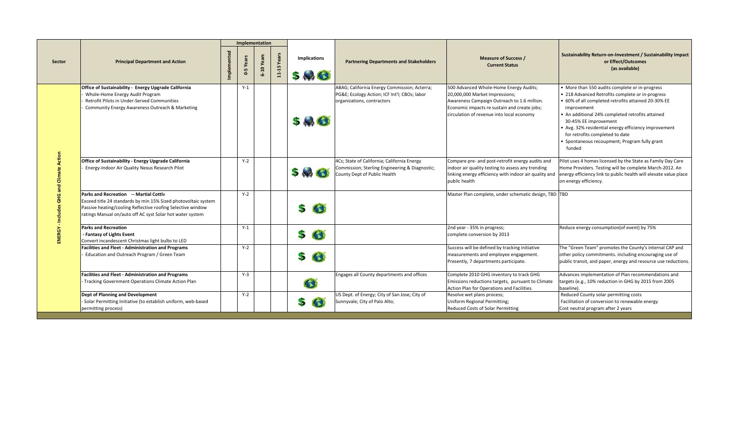|               |                                                                                                                                                                                                                                             |               |       | Implementation |            |                                |                                                                                                                               |                                                                                                                                                                                                                      |                                                                                                                                                                                                                                                                                                                                                                                                             |
|---------------|---------------------------------------------------------------------------------------------------------------------------------------------------------------------------------------------------------------------------------------------|---------------|-------|----------------|------------|--------------------------------|-------------------------------------------------------------------------------------------------------------------------------|----------------------------------------------------------------------------------------------------------------------------------------------------------------------------------------------------------------------|-------------------------------------------------------------------------------------------------------------------------------------------------------------------------------------------------------------------------------------------------------------------------------------------------------------------------------------------------------------------------------------------------------------|
| <b>Sector</b> | <b>Principal Department and Action</b>                                                                                                                                                                                                      | $\frac{1}{2}$ | ò     | 6-10 Year      | 11-15 Year | <b>Implications</b><br>$5 - 6$ | <b>Partnering Departments and Stakeholders</b>                                                                                | <b>Measure of Success /</b><br><b>Current Status</b>                                                                                                                                                                 | <b>Sustainability Return-on-Investment / Sustainability Impact</b><br>or Effect/Outcomes<br>(as available)                                                                                                                                                                                                                                                                                                  |
|               | Office of Sustainability - Energy Upgrade California<br>Whole-Home Energy Audit Program<br>Retrofit Pilots in Under-Served Communities<br>Community Energy Awareness Outreach & Marketing                                                   |               | $Y-1$ |                |            | 5.3                            | ABAG; California Energy Commission; Acterra;<br>PG&E Ecology Action; ICF Int'l; CBOs; labor<br>organizations, contractors     | 500 Advanced Whole-Home Energy Audits;<br>20,000,000 Market Impressions;<br>Awareness Campaign Outreach to 1.6 million.<br>Economic impacts re sustain and create jobs;<br>circulation of revenue into local economy | • More than 550 audits complete or in-progress<br>• 218 Advanced Retrofits complete or in-progress<br>• 60% of all completed retrofits attained 20-30% EE<br>improvement<br>• An additional 24% completed retrofits attained<br>30-45% EE improvement<br>• Avg. 32% residential energy efficiency improvement<br>for retrofits completed to date<br>• Spontaneous recoupment; Program fully grant<br>funded |
|               | Office of Sustainability - Energy Upgrade California<br>Energy-Indoor Air Quality Nexus Research Pilot                                                                                                                                      |               | $Y-2$ |                |            | $5 - 6$                        | 4Cs; State of California; California Energy<br>Commission; Sterling Engineering & Diagnostic;<br>County Dept of Public Health | Compare pre- and post-retrofit energy audits and<br>indoor air quality testing to assess any trending<br>linking energy efficiency with indoor air quality and<br>public health                                      | Pilot uses 4 homes licensed by the State as Family Day Care<br>Home Providers. Testing will be complete March-2012. An<br>energy efficiency link to public health will elevate value place<br>on energy efficiency.                                                                                                                                                                                         |
|               | <b>Parks and Recreation -- Martial Cottle</b><br>Exceed title 24 standards by min 15% Sized photovoltaic system<br>Passive heating/cooling Reflective roofing Selective window<br>ratings Manual on/auto off AC syst Solar hot water system |               | $Y-2$ |                |            | G<br>S                         |                                                                                                                               | Master Plan complete, under schematic design, TBD TBD                                                                                                                                                                |                                                                                                                                                                                                                                                                                                                                                                                                             |
|               | <b>Parks and Recreation</b><br>- Fantasy of Lights Event<br>Convert incandescent Christmas light bulbs to LED                                                                                                                               |               | $Y-1$ |                |            | $\bullet$<br>\$                |                                                                                                                               | 2nd year - 35% in progress;<br>complete conversion by 2013                                                                                                                                                           | Reduce energy consumption(of event) by 75%                                                                                                                                                                                                                                                                                                                                                                  |
|               | <b>Facilities and Fleet - Administration and Programs</b><br>Education and Outreach Program / Green Team                                                                                                                                    |               | $Y-2$ |                |            | $\bullet$<br>\$                |                                                                                                                               | Success will be defined by tracking initiative<br>measurements and employee engagement.<br>Presently, 7 departments participate.                                                                                     | The "Green Team" promotes the County's internal CAP and<br>other policy commitments. including encouraging use of<br>public transit, and paper, energy and resource use reductions.                                                                                                                                                                                                                         |
|               | <b>Facilities and Fleet - Administration and Programs</b><br>- Tracking Government Operations Climate Action Plan                                                                                                                           |               | $Y-3$ |                |            | $\bullet$                      | Engages all County departments and offices                                                                                    | Complete 2010 GHG inventory to track GHG<br>Emissions reductions targets, pursuant to Climate<br>Action Plan for Operations and Facilities.                                                                          | Advances implementation of Plan recommendations and<br>targets (e.g., 10% reduction in GHG by 2015 from 2005<br>baseline)                                                                                                                                                                                                                                                                                   |
|               | Dept of Planning and Development<br>Solar Permitting Initiative (to establish uniform, web-based<br>permitting process)                                                                                                                     |               | $Y-2$ |                |            | $\bullet$<br>\$                | US Dept. of Energy; City of San Jose; City of<br>Sunnyvale; City of Palo Alto;                                                | Resolve wet plans process;<br>Uniform Regional Permitting;<br><b>Reduced Costs of Solar Permitting</b>                                                                                                               | Reduced County solar permitting costs<br>Facilitation of conversion to renewable energy<br>Cost neutral program after 2 years                                                                                                                                                                                                                                                                               |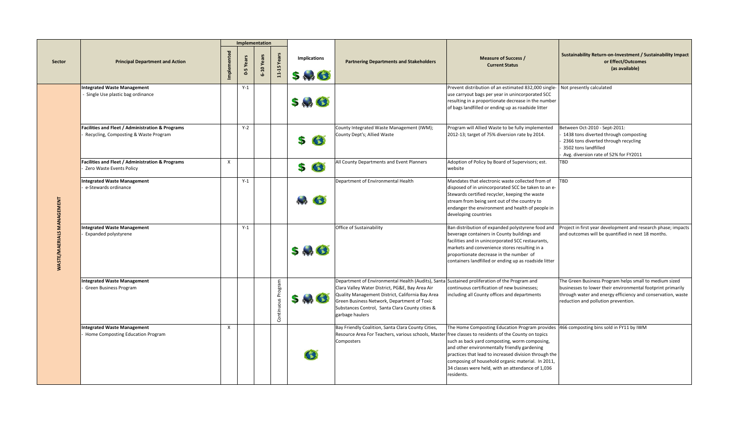|                     |                                                                                                      |                    |                | Implementation |            |                                |                                                                                                                                                                                                                                                                                                                           |                                                                                                                                                                                                                                                                                                                                                                           |                                                                                                                                                                                                                             |
|---------------------|------------------------------------------------------------------------------------------------------|--------------------|----------------|----------------|------------|--------------------------------|---------------------------------------------------------------------------------------------------------------------------------------------------------------------------------------------------------------------------------------------------------------------------------------------------------------------------|---------------------------------------------------------------------------------------------------------------------------------------------------------------------------------------------------------------------------------------------------------------------------------------------------------------------------------------------------------------------------|-----------------------------------------------------------------------------------------------------------------------------------------------------------------------------------------------------------------------------|
| <b>Sector</b>       | <b>Principal Department and Action</b>                                                               | <b>Implemented</b> | Years<br>$0-5$ | 6-10 Yea       | 11-15 Yea  | <b>Implications</b><br>$5 - 3$ | <b>Partnering Departments and Stakeholders</b>                                                                                                                                                                                                                                                                            | <b>Measure of Success /</b><br><b>Current Status</b>                                                                                                                                                                                                                                                                                                                      | Sustainability Return-on-Investment / Sustainability Impact<br>or Effect/Outcomes<br>(as available)                                                                                                                         |
|                     | <b>Integrated Waste Management</b><br>Single Use plastic bag ordinance                               |                    | $Y-1$          |                |            | 5.9C                           |                                                                                                                                                                                                                                                                                                                           | Prevent distribution of an estimated 832,000 single-<br>use carryout bags per year in unincorporated SCC<br>resulting in a proportionate decrease in the number<br>of bags landfilled or ending up as roadside litter                                                                                                                                                     | Not presently calculated                                                                                                                                                                                                    |
|                     | <b>Facilities and Fleet / Administration &amp; Programs</b><br>Recycling, Composting & Waste Program |                    | $Y-2$          |                |            | $\bullet$<br>S.                | County Integrated Waste Management (IWM);<br>County Dept's; Allied Waste                                                                                                                                                                                                                                                  | Program will Allied Waste to be fully implemented<br>2012-13; target of 75% diversion rate by 2014.                                                                                                                                                                                                                                                                       | Between Oct-2010 - Sept-2011:<br>1438 tons diverted through composting<br>2366 tons diverted through recycling<br>3502 tons landfilled<br>Avg. diversion rate of 52% for FY2011                                             |
|                     | <b>Facilities and Fleet / Administration &amp; Programs</b><br>Zero Waste Events Policy              | $\mathsf{X}$       |                |                |            | G<br>\$                        | All County Departments and Event Planners                                                                                                                                                                                                                                                                                 | Adoption of Policy by Board of Supervisors; est.<br>website                                                                                                                                                                                                                                                                                                               | <b>TBD</b>                                                                                                                                                                                                                  |
| <b>TA</b>           | <b>Integrated Waste Management</b><br>e-Stewards ordinance                                           |                    | $Y-1$          |                |            | $\rightarrow$ $\bullet$        | Department of Environmental Health                                                                                                                                                                                                                                                                                        | Mandates that electronic waste collected from of<br>disposed of in unincorporated SCC be taken to an e-<br>Stewards certified recycler, keeping the waste<br>stream from being sent out of the country to<br>endanger the environment and health of people in<br>developing countries                                                                                     | <b>TBD</b>                                                                                                                                                                                                                  |
| TE/M.<br><b>WAS</b> | Integrated Waste Management<br><b>Expanded polystyrene</b>                                           |                    | $Y-1$          |                |            | 5.8                            | Office of Sustainability                                                                                                                                                                                                                                                                                                  | Ban distribution of expanded polystyrene food and<br>beverage containers in County buildings and<br>facilities and in unincorporated SCC restaurants,<br>markets and convenience stores resulting in a<br>proportionate decrease in the number of<br>containers landfilled or ending up as roadside litter                                                                | Project in first year development and research phase; impacts<br>and outcomes will be quantified in next 18 months.                                                                                                         |
|                     | Integrated Waste Management<br><b>Green Business Program</b>                                         |                    |                |                | Continuous | $5 - 3$                        | Department of Environmental Health (Audits), Santa Sustained proliferation of the Program and<br>Clara Valley Water District, PG&E, Bay Area Air<br>Quality Management District, California Bay Area<br>Green Business Network, Department of Toxic<br>Substances Control, Santa Clara County cities &<br>garbage haulers | continuous certification of new businesses;<br>including all County offices and departments                                                                                                                                                                                                                                                                               | The Green Business Program helps small to medium sized<br>businesses to lower their environmental footprint primarily<br>through water and energy efficiency and conservation, waste<br>reduction and pollution prevention. |
|                     | Integrated Waste Management<br>Home Composting Education Program                                     |                    |                |                |            | 43                             | Bay Friendly Coalition, Santa Clara County Cities,<br>Resource Area For Teachers, various schools, Master free classes to residents of the County on topics<br>Composters                                                                                                                                                 | The Home Composting Education Program provides  466 composting bins sold in FY11 by IWM<br>such as back yard composting, worm composing,<br>and other environmentally friendly gardening<br>practices that lead to increased division through the<br>composing of household organic material. In 2011,<br>34 classes were held, with an attendance of 1,036<br>residents. |                                                                                                                                                                                                                             |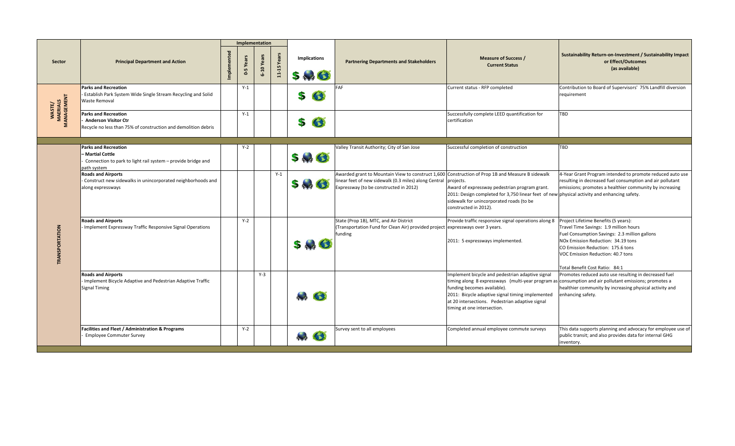|                                  |                                                                                                                                |       | Implementation   |                 |                  |                            |                                                                                                                                                                                                                |                                                                                                                                                                                                                       |                                                                                                                                                                                                                                                                                  |
|----------------------------------|--------------------------------------------------------------------------------------------------------------------------------|-------|------------------|-----------------|------------------|----------------------------|----------------------------------------------------------------------------------------------------------------------------------------------------------------------------------------------------------------|-----------------------------------------------------------------------------------------------------------------------------------------------------------------------------------------------------------------------|----------------------------------------------------------------------------------------------------------------------------------------------------------------------------------------------------------------------------------------------------------------------------------|
| <b>Sector</b>                    | <b>Principal Department and Action</b>                                                                                         | Imple | Years<br>$0 - 5$ | Yea<br>$6 - 10$ | Yea<br>$11 - 15$ | <b>Implications</b><br>540 | <b>Partnering Departments and Stakeholders</b>                                                                                                                                                                 | <b>Measure of Success /</b><br><b>Current Status</b>                                                                                                                                                                  | <b>Sustainability Return-on-Investment / Sustainability Impact</b><br>or Effect/Outcomes<br>(as available)                                                                                                                                                                       |
| WASTE/<br>MAERIALS<br>MANAGEMENT | <b>Parks and Recreation</b><br><b>Establish Park System Wide Single Stream Recycling and Solid</b><br><b>Waste Removal</b>     |       | $Y-1$            |                 |                  | G<br>S                     | FAF                                                                                                                                                                                                            | Current status - RFP completed                                                                                                                                                                                        | Contribution to Board of Supervisors' 75% Landfill diversion<br>requirement                                                                                                                                                                                                      |
|                                  | <b>Parks and Recreation</b><br><b>Anderson Visitor Ctr</b><br>Recycle no less than 75% of construction and demolition debris   |       | $Y-1$            |                 |                  | G<br>S                     |                                                                                                                                                                                                                | Successfully complete LEED quantification for<br>certification                                                                                                                                                        | TBD                                                                                                                                                                                                                                                                              |
|                                  | <b>Parks and Recreation</b><br>- Martial Cottle<br>Connection to park to light rail system - provide bridge and<br>path system |       | $Y-2$            |                 |                  | 546                        | Valley Transit Authority; City of San Jose                                                                                                                                                                     | Successful completion of construction                                                                                                                                                                                 | <b>TBD</b>                                                                                                                                                                                                                                                                       |
| <b>DRTATION</b><br>TRANSP        | <b>Roads and Airports</b><br>Construct new sidewalks in unincorporated neighborhoods and<br>along expressways                  |       |                  |                 | $Y-1$            | $5 - 3$                    | Awarded grant to Mountain View to construct 1,600 Construction of Prop 1B and Measure B sidewalk<br>linear feet of new sidewalk (0.3 miles) along Central  projects.<br>Expressway (to be constructed in 2012) | Award of expressway pedestrian program grant.<br>2011: Design completed for 3,750 linear feet of new physical activity and enhancing safety.<br>sidewalk for unincorporated roads (to be<br>constructed in 2012).     | 4-Year Grant Program intended to promote reduced auto use<br>resulting in decreased fuel consumption and air pollutant<br>emissions; promotes a healthier community by increasing                                                                                                |
|                                  | <b>Roads and Airports</b><br>Implement Expressway Traffic Responsive Signal Operations                                         |       | $Y-2$            |                 |                  | $\mathbf{r}$               | State (Prop 1B), MTC, and Air District<br>(Transportation Fund for Clean Air) provided project expressways over 3 years.<br>funding                                                                            | Provide traffic responsive signal operations along 8<br>2011: 5 expressways implemented.                                                                                                                              | Project Lifetime Benefits (5 years):<br>Travel Time Savings: 1.9 million hours<br>Fuel Consumption Savings: 2.3 million gallons<br>NOx Emission Reduction: 34.19 tons<br>CO Emission Reduction: 175.6 tons<br>VOC Emission Reduction: 40.7 tons                                  |
|                                  | <b>Roads and Airports</b><br>- Implement Bicycle Adaptive and Pedestrian Adaptive Traffic<br><b>Signal Timing</b>              |       |                  | $Y-3$           |                  | $\rightarrow$ $\bullet$    |                                                                                                                                                                                                                | Implement bicycle and pedestrian adaptive signal<br>funding becomes available).<br>2011: Bicycle adaptive signal timing implemented<br>at 20 intersections. Pedestrian adaptive signal<br>timing at one intersection. | Total Benefit Cost Ratio: 84:1<br>Promotes reduced auto use resulting in decreased fuel<br>timing along 8 expressways (multi-year program as consumption and air pollutant emissions; promotes a<br>healthier community by increasing physical activity and<br>enhancing safety. |
|                                  | <b>Facilities and Fleet / Administration &amp; Programs</b><br><b>Employee Commuter Survey</b>                                 |       | $Y-2$            |                 |                  | $\sim$                     | Survey sent to all employees                                                                                                                                                                                   | Completed annual employee commute surveys                                                                                                                                                                             | This data supports planning and advocacy for employee use of<br>public transit; and also provides data for internal GHG<br>inventory.                                                                                                                                            |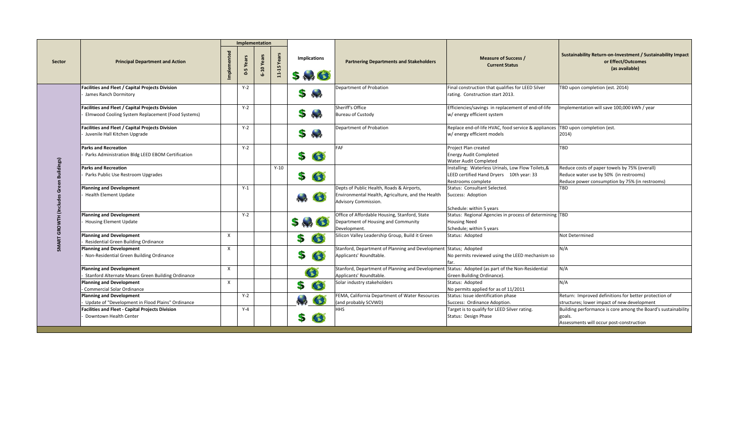|               |                                                                                                              |                |         | Implementation |              |                                |                                                                                                                        |                                                                                                                                        |                                                                                                                                           |
|---------------|--------------------------------------------------------------------------------------------------------------|----------------|---------|----------------|--------------|--------------------------------|------------------------------------------------------------------------------------------------------------------------|----------------------------------------------------------------------------------------------------------------------------------------|-------------------------------------------------------------------------------------------------------------------------------------------|
| <b>Sector</b> | <b>Principal Department and Action</b>                                                                       | Implemented    | Ó       | 6-10 Yea       | Yea<br>11-15 | <b>Implications</b><br>$5 - C$ | <b>Partnering Departments and Stakeholders</b>                                                                         | <b>Measure of Success /</b><br><b>Current Status</b>                                                                                   | Sustainability Return-on-Investment / Sustainability Impact<br>or Effect/Outcomes<br>(as available)                                       |
|               | <b>Facilities and Fleet / Capital Projects Division</b><br>James Ranch Dormitory                             |                | $Y-2$   |                |              | S<br>$+4$                      | Department of Probation                                                                                                | Final construction that qualifies for LEED Silver<br>rating. Construction start 2013.                                                  | TBD upon completion (est. 2014)                                                                                                           |
|               | <b>Facilities and Fleet / Capital Projects Division</b><br>Elmwood Cooling System Replacement (Food Systems) |                | $Y-2$   |                |              | 5                              | Sheriff's Office<br><b>Bureau of Custody</b>                                                                           | Efficiencies/savings in replacement of end-of-life<br>w/ energy efficient system                                                       | Implementation will save 100,000 kWh / year                                                                                               |
|               | <b>Facilities and Fleet / Capital Projects Division</b><br>Juvenile Hall Kitchen Upgrade                     |                | $Y-2$   |                |              | S                              | Department of Probation                                                                                                | Replace end-of-life HVAC, food service & appliances<br>w/ energy efficient models                                                      | TBD upon completion (est.<br>2014)                                                                                                        |
|               | <b>Parks and Recreation</b><br>Parks Administration Bldg LEED EBOM Certification                             |                | $Y-2$   |                |              | $\bullet$<br>\$                | <b>IFAF</b>                                                                                                            | Project Plan created<br><b>Energy Audit Completed</b><br><b>Water Audit Completed</b>                                                  | <b>TBD</b>                                                                                                                                |
|               | <b>Parks and Recreation</b><br>Parks Public Use Restroom Upgrades                                            |                |         |                | $Y-10$       | G<br>\$                        |                                                                                                                        | Installing: Waterless Urinals, Low Flow Toilets, &<br>LEED certified Hand Dryers 10th year: 33<br>Restrooms complete                   | Reduce costs of paper towels by 75% (overall)<br>Reduce water use by 50% (in restrooms)<br>Reduce power consumption by 75% (in restrooms) |
|               | <b>Planning and Development</b><br><b>Health Element Update</b>                                              |                | $Y-1$   |                |              | $\bullet$<br>$\mathbf{r}$      | Depts of Public Health, Roads & Airports,<br>Environmental Health, Agriculture, and the Health<br>Advisory Commission. | Status: Consultant Selected.<br>Success: Adoption                                                                                      | TBD                                                                                                                                       |
|               | <b>Planning and Development</b><br><b>Housing Element Update</b>                                             |                | $Y-2$   |                |              | $5 - 6$                        | Office of Affordable Housing, Stanford, State<br>Department of Housing and Community<br>Development.                   | Schedule: within 5 years<br>Status: Regional Agencies in process of determining TBD<br><b>Housing Need</b><br>Schedule; within 5 years |                                                                                                                                           |
|               | <b>Planning and Development</b><br><b>Residential Green Building Ordinance</b>                               | X              |         |                |              | $\bullet$<br>\$                | Silicon Valley Leadership Group, Build it Green                                                                        | Status: Adopted                                                                                                                        | Not Determined                                                                                                                            |
| <u>ა</u>      | Planning and Development<br>Non-Residential Green Building Ordinance                                         | $\mathsf{X}^-$ |         |                |              | \$<br>G                        | Stanford, Department of Planning and Development Status; Adopted<br>Applicants' Roundtable.                            | No permits reviewed using the LEED mechanism so<br>far.                                                                                | N/A                                                                                                                                       |
|               | <b>Planning and Development</b><br>Stanford Alternate Means Green Building Ordinance                         | $\mathsf{X}$   |         |                |              | G                              | Stanford, Department of Planning and Developmen<br>Applicants' Roundtable.                                             | Status: Adopted (as part of the Non-Residential<br>Green Building Ordinance).                                                          | N/A                                                                                                                                       |
|               | <b>Planning and Development</b><br>- Commercial Solar Ordinance                                              | $\mathsf{X}$   |         |                |              | $\bullet$<br>\$                | Solar industry stakeholders                                                                                            | Status: Adopted<br>No permits applied for as of 11/2011                                                                                | N/A                                                                                                                                       |
|               | <b>Planning and Development</b><br>Update of "Development in Flood Plains" Ordinance                         |                | $Y-2$   |                |              | $\rightarrow$ $\bullet$        | FEMA, California Department of Water Resources<br>(and probably SCVWD)                                                 | Status: Issue identification phase<br>Success: Ordinance Adoption.                                                                     | Return: Improved definitions for better protection of<br>structures; lower impact of new development                                      |
|               | <b>Facilities and Fleet - Capital Projects Division</b><br>Downtown Health Center                            |                | $Y - 4$ |                |              | O<br>\$                        | <b>HHS</b>                                                                                                             | Target is to qualify for LEED Silver rating.<br>Status: Design Phase                                                                   | Building performance is core among the Board's sustainability<br>goals.<br>Assessments will occur post-construction                       |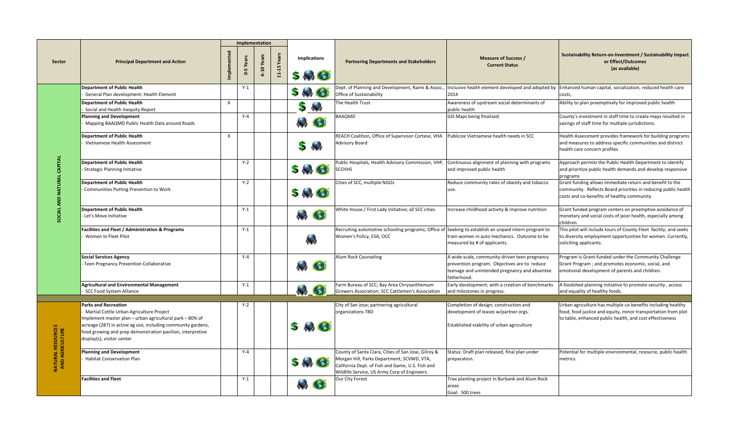|                                              |                                                                                                                                                                                                                                                                                                 |              |                  | Implementation |              |                                                                                 |                                                                                                                                                                                                       |                                                                                                                                                               |                                                                                                                                                                                           |
|----------------------------------------------|-------------------------------------------------------------------------------------------------------------------------------------------------------------------------------------------------------------------------------------------------------------------------------------------------|--------------|------------------|----------------|--------------|---------------------------------------------------------------------------------|-------------------------------------------------------------------------------------------------------------------------------------------------------------------------------------------------------|---------------------------------------------------------------------------------------------------------------------------------------------------------------|-------------------------------------------------------------------------------------------------------------------------------------------------------------------------------------------|
| <b>Sector</b>                                | <b>Principal Department and Action</b>                                                                                                                                                                                                                                                          | Implemented  | Years<br>LŊ<br>ò | 6-10 Yea       | Yea<br>11-15 | <b>Implications</b><br>$5 - 3$                                                  | <b>Partnering Departments and Stakeholders</b>                                                                                                                                                        | <b>Measure of Success /</b><br><b>Current Status</b>                                                                                                          | <b>Sustainability Return-on-Investment / Sustainability Impact</b><br>or Effect/Outcomes<br>(as available)                                                                                |
|                                              | <b>Department of Public Health</b><br>General Plan development: Health Element                                                                                                                                                                                                                  |              | $Y-1$            |                |              | $5 - 3$                                                                         | Office of Sustainability                                                                                                                                                                              | 2014                                                                                                                                                          | Dept. of Planning and Development, Raimi & Assoc.,  Inclusive health element developed and adopted by  Enhanced human capital, socialization, reduced health care<br>costs,               |
|                                              | <b>Department of Public Health</b><br>Social and Health Inequity Report                                                                                                                                                                                                                         | $\mathsf{X}$ |                  |                |              | S.                                                                              | The Health Trust                                                                                                                                                                                      | Awareness of upstream social determinants of<br>public health                                                                                                 | Ability to plan preemptively for improved public health                                                                                                                                   |
|                                              | <b>Planning and Development</b><br>Mapping BAAQMD Public Health Data around Roads                                                                                                                                                                                                               |              | $Y-4$            |                |              | $\bullet$                                                                       | <b>BAAQMD</b>                                                                                                                                                                                         | GIS Maps being finalized.                                                                                                                                     | County's investment in staff time to create maps resulted in<br>savings of staff time for multiple jurisdictions.                                                                         |
|                                              | <b>Department of Public Health</b><br>Vietnamese Health Assessment                                                                                                                                                                                                                              | X            |                  |                |              | $5 -$                                                                           | REACH Coalition, Office of Supervisor Cortese, VHA<br><b>Advisory Board</b>                                                                                                                           | Publicize Vietnamese health needs in SCC                                                                                                                      | Health Assessment provides framework for building programs<br>and measures to address specific communities and distinct<br>health care concern profiles                                   |
|                                              | <b>Department of Public Health</b><br>- Strategic Planning Initiative                                                                                                                                                                                                                           |              | $Y-2$            |                |              | $5 - 3$                                                                         | Public Hospitals, Health Advisory Commission, VHP,<br><b>SCCHHS</b>                                                                                                                                   | Continuous alignment of planning with programs<br>and improved public health                                                                                  | Approach permits the Public Health Department to identify<br>and prioritize public health demands and develop responsive<br>programs                                                      |
|                                              | <b>Department of Public Health</b><br>- Communities Putting Prevention to Work                                                                                                                                                                                                                  |              | $Y-2$            |                |              | 5.3 <sup>o</sup>                                                                | Cities of SCC, multiple NGOs                                                                                                                                                                          | Reduce community rates of obesity and tobacco<br>luse.                                                                                                        | Grant funding allows immediate return and benefit to the<br>community. Reflects Board priorities in reducing public health<br>costs and co-benefits of healthy community.                 |
|                                              | Department of Public Health<br>- Let's Move Initiative                                                                                                                                                                                                                                          |              | $Y-1$            |                |              | $\begin{array}{c} \uparrow \uparrow \uparrow \uparrow \end{array}$<br>$\bullet$ | White House / First Lady Initiative; all SCC cities                                                                                                                                                   | Increase childhood activity & improve nutrition                                                                                                               | Grant funded program centers on preemptive avoidance of<br>monetary and social costs of poor health, especially among<br>children.                                                        |
|                                              | <b>Facilities and Fleet / Administration &amp; Programs</b><br>Women In Fleet Pilot                                                                                                                                                                                                             |              | $Y-1$            |                |              |                                                                                 | Recruiting automotive schooling programs; Office of Seeking to establish an unpaid intern program to<br>Women's Policy, ESA, OCC                                                                      | train women in auto mechanics. Outcome to be<br>measured by # of applicants.                                                                                  | This pilot will include tours of County Fleet facility; and seeks<br>to diversity employment opportunities for women. Currently,<br>soliciting applicants.                                |
|                                              | <b>Social Services Agency</b><br>- Teen Pregnancy Prevention Collaborative                                                                                                                                                                                                                      |              | $Y - 4$          |                |              | G                                                                               | Alum Rock Counseling                                                                                                                                                                                  | A wide-scale, community-driven teen pregnancy<br>prevention program. Objectives are to reduce<br>teenage and unintended pregnancy and absentee<br>fatherhood. | Program is Grant-funded under the Community Challenge<br>Grant Program; and promotes economic, social, and<br>emotional development of parents and children.                              |
|                                              | <b>Agricultural and Environmental Management</b><br>SCC Food System Alliance                                                                                                                                                                                                                    |              | $Y-1$            |                |              | H C                                                                             | Farm Bureau of SCC; Bay Area Chrysanthemum<br>Growers Association; SCC Cattlemen's Association                                                                                                        | Early development; with a creation of benchmarks<br>and milestones in progress.                                                                               | A foodshed planning initiative to promote security, access<br>and equality of healthy foods.                                                                                              |
|                                              | <b>Parks and Recreation</b><br>Martial Cottle Urban Agriculture Project<br>Implement master plan - urban agricultural park - 80% of<br>acreage (287) in active ag use, including community gardens,<br>food growing and prep demonstration pavilion, interpretive<br>display(s), visitor center |              | $Y-2$            |                |              | $5 \rightarrow 3$                                                               | City of San Jose; partnering agricultural<br>organizations TBD                                                                                                                                        | Completion of design; construction and<br>development of leases w/partner orgs.<br>Established viability of urban agriculture                                 | Urban agriculture has multiple co-benefits including healthy<br>food, food justice and equity, minor transportation from plot<br>to table, enhanced public health, and cost effectiveness |
| <b>NATURAL RESOURCES<br/>AND AGRICULTURE</b> | <b>Planning and Development</b><br><b>Habitat Conservation Plan</b>                                                                                                                                                                                                                             |              | $Y - 4$          |                |              | $5 - 6$                                                                         | County of Santa Clara, Cities of San Jose, Gilroy &<br>Morgan Hill, Parks Department, SCVWD, VTA,<br>California Dept. of Fish and Game, U.S. Fish and<br>Wildlife Service, US Army Corp of Engineers. | Status: Draft plan released, final plan under<br>preparation.                                                                                                 | Potential for multiple environmental, resource, public health<br>metrics.                                                                                                                 |
|                                              | <b>Facilities and Fleet</b>                                                                                                                                                                                                                                                                     |              | $Y-1$            |                |              | $\bullet$                                                                       | Our City Forest                                                                                                                                                                                       | Tree planting project in Burbank and Alum Rock<br>areas<br>Goal: 500 trees                                                                                    |                                                                                                                                                                                           |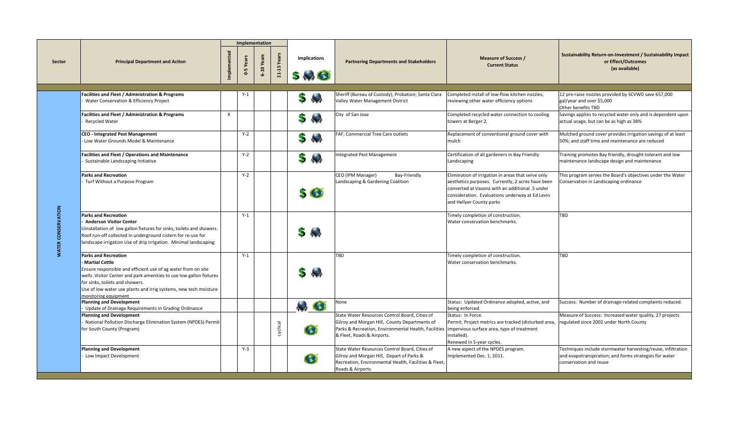|                            |                                                                                                                                                                                                                                                                                                                       |                           |                | Implementation |                  |                                |                                                                                                                                                                                                                                    |                                                                                                                                                                                                                                           |                                                                                                                                                  |
|----------------------------|-----------------------------------------------------------------------------------------------------------------------------------------------------------------------------------------------------------------------------------------------------------------------------------------------------------------------|---------------------------|----------------|----------------|------------------|--------------------------------|------------------------------------------------------------------------------------------------------------------------------------------------------------------------------------------------------------------------------------|-------------------------------------------------------------------------------------------------------------------------------------------------------------------------------------------------------------------------------------------|--------------------------------------------------------------------------------------------------------------------------------------------------|
| Sector                     | <b>Principal Department and Action</b>                                                                                                                                                                                                                                                                                | Implemented               | Yea<br>$0 - 5$ | 6-10 Year      | Yea<br>$11 - 15$ | <b>Implications</b><br>$5 - 3$ | <b>Partnering Departments and Stakeholders</b>                                                                                                                                                                                     | <b>Measure of Success /</b><br><b>Current Status</b>                                                                                                                                                                                      | Sustainability Return-on-Investment / Sustainability Impact<br>or Effect/Outcomes<br>(as available)                                              |
|                            |                                                                                                                                                                                                                                                                                                                       |                           |                |                |                  |                                |                                                                                                                                                                                                                                    |                                                                                                                                                                                                                                           |                                                                                                                                                  |
|                            | <b>Facilities and Fleet / Administration &amp; Programs</b><br>Water Conservation & Efficiency Project                                                                                                                                                                                                                |                           | Y-1            |                |                  | 5                              | Sheriff (Bureau of Custody), Probation; Santa Clara<br>Valley Water Management District                                                                                                                                            | Completed install of low-flow kitchen nozzles;<br>reviewing other water efficiency options                                                                                                                                                | 12 pre-raise nozzles provided by SCVWD save 657,000<br>gal/year and over \$5,000<br>Other benefits TBD                                           |
|                            | <b>Facilities and Fleet / Administration &amp; Programs</b><br>Recycled Water                                                                                                                                                                                                                                         | $\boldsymbol{\mathsf{X}}$ |                |                |                  | S                              | City of San Jose                                                                                                                                                                                                                   | Completed recycled water connection to cooling<br>towers at Berger 2.                                                                                                                                                                     | Savings applies to recycled water only and is dependent upon<br>actual usage, but can be as high as 38%                                          |
|                            | CEO - Integrated Pest Management<br>- Low Water Grounds Model & Maintenance                                                                                                                                                                                                                                           |                           | $Y-2$          |                |                  | S                              | <b>FAF</b> ; Commercial Tree Care outlets                                                                                                                                                                                          | Replacement of conventional ground cover with<br>mulch                                                                                                                                                                                    | Mulched ground cover provides irrigation savings of at least<br>50%; and staff time and maintenance are reduced                                  |
|                            | <b>Facilities and Fleet / Operations and Maintenance</b><br>Sustainable Landscaping Initiative                                                                                                                                                                                                                        |                           | $Y-2$          |                |                  | S                              | Integrated Pest Management                                                                                                                                                                                                         | Certification of all gardeners in Bay Friendly<br>Landscaping                                                                                                                                                                             | Training promotes Bay friendly, drought-tolerant and low<br>maintenance landscape design and maintenance                                         |
| <b>ATION</b><br><b>IAV</b> | <b>Parks and Recreation</b><br>Turf Without a Purpose Program                                                                                                                                                                                                                                                         |                           | $Y-2$          |                |                  | $\mathbf{S}$                   | CEO (IPM Manager)<br>Bay-Friendly<br>Landscaping & Gardening Coalition                                                                                                                                                             | Elimination of irrigation in areas that serve only<br>aesthetics purposes. Currently, 2 acres have been<br>converted at Vasona with an additional .5 under<br>consideration. Evaluations underway at Ed Levin<br>and Hellyer County parks | This program serves the Board's objectives under the Water<br>Conservation in Landscaping ordinance                                              |
|                            | <b>Parks and Recreation</b><br><b>Anderson Visitor Center</b><br>Uinstallation of low gallon fixtures for sinks, toilets and showers.<br>Roof run-off collected in underground cistern for re-use for<br>landscape irrigation Use of drip irrigation. Minimal landscaping                                             |                           | $Y-1$          |                |                  | 5                              |                                                                                                                                                                                                                                    | Timely completion of construction.<br>Water conservation benchmarks.                                                                                                                                                                      | <b>TBD</b>                                                                                                                                       |
|                            | <b>Parks and Recreation</b><br>- Martial Cottle<br>Ensure responsible and efficient use of ag water from on site<br>wells Visitor Center and park amenities to use low gallon fixtures<br>for sinks, toilets and showers.<br>Use of low water use plants and irrig systems, new tech moisture<br>monitoring equipment |                           | $Y-1$          |                |                  | $5 + 4$                        | <b>TBD</b>                                                                                                                                                                                                                         | Timely completion of construction.<br>Water conservation benchmarks.                                                                                                                                                                      | <b>TBD</b>                                                                                                                                       |
|                            | Planning and Development<br>Update of Drainage Requirements in Grading Ordinance                                                                                                                                                                                                                                      |                           |                |                |                  | $\bullet$                      | None                                                                                                                                                                                                                               | Status: Updated Ordinance adopted, active, and<br>being enforced.                                                                                                                                                                         | Success: Number of drainage-related complaints reduced.                                                                                          |
|                            | <b>Planning and Development</b><br>National Pollution Discharge Elimination System (NPDES) Permit<br>for South County (Program)                                                                                                                                                                                       |                           |                |                | cyclical         | 43                             | State Water Resources Control Board, Cities of<br>Gilroy and Morgan Hill, County Departments of<br>Parks & Recreation, Environmental Health, Facilities   impervious surface area, type of treatment<br>& Fleet, Roads & Airports. | Status: In Force.<br>Permit. Project metrics are tracked (disturbed area,<br>installed).<br>Renewed in 5-year cycles.                                                                                                                     | Measure of Success: Increased water quality, 27 projects<br>regulated since 2002 under North County                                              |
|                            | <b>Planning and Development</b><br>Low Impact Development                                                                                                                                                                                                                                                             |                           | $Y-3$          |                |                  |                                | State Water Resources Control Board, Cities of<br>Gilroy and Morgan Hill, Depart of Parks &<br>Recreation, Environmental Health, Facilities & Fleet,<br>Roads & Airports                                                           | A new aspect of the NPDES program.<br>Implemented Dec. 1, 2011.                                                                                                                                                                           | Techniques include stormwater harvesting/reuse, infiltration<br>and evapotranspiration; and forms strategies for water<br>conservation and reuse |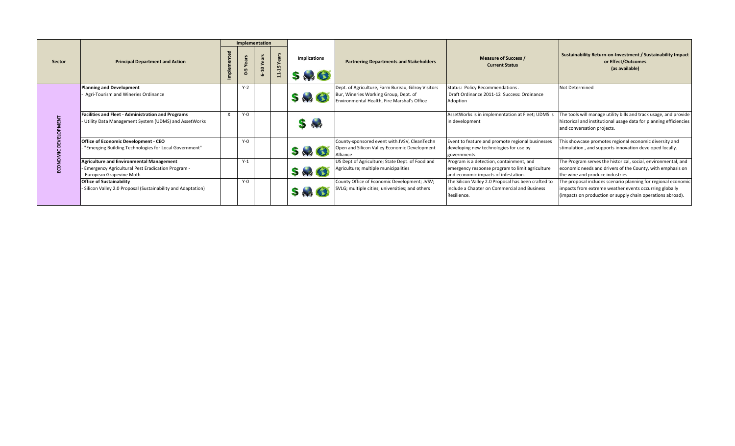|               |                                                                                                                            | Implementation                 |                          |               |                             |                                                                                                                                            |                                                                                                                                     |                                                                                                                                                                                       |
|---------------|----------------------------------------------------------------------------------------------------------------------------|--------------------------------|--------------------------|---------------|-----------------------------|--------------------------------------------------------------------------------------------------------------------------------------------|-------------------------------------------------------------------------------------------------------------------------------------|---------------------------------------------------------------------------------------------------------------------------------------------------------------------------------------|
| <b>Sector</b> | <b>Principal Department and Action</b>                                                                                     | Yea<br>ம<br>$\dot{\mathbf{c}}$ | Yea<br>$\mathbf{a}$<br>ဖ | ≻<br>$11 - 1$ | <b>Implications</b><br>5.30 | <b>Partnering Departments and Stakeholders</b>                                                                                             | <b>Measure of Success /</b><br><b>Current Status</b>                                                                                | <b>Sustainability Return-on-Investment / Sustainability Impact</b><br>or Effect/Outcomes<br>(as available)                                                                            |
|               | Planning and Development<br>Agri-Tourism and Wineries Ordinance                                                            | $Y-2$                          |                          |               | $5 - C$                     | Dept. of Agriculture, Farm Bureau, Gilroy Visitors<br>Bur, Wineries Working Group, Dept. of<br>Environmental Health, Fire Marshal's Office | Status: Policy Recommendations.<br>Draft Ordinance 2011-12 Success: Ordinance<br>Adoption                                           | Not Determined                                                                                                                                                                        |
|               | <b>Facilities and Fleet - Administration and Programs</b><br>- Utility Data Management System (UDMS) and AssetWorks        | $Y-0$                          |                          |               | $5 -$                       |                                                                                                                                            | AssetWorks is in implementation at Fleet; UDMS is<br>in development                                                                 | The tools will manage utility bills and track usage, and provide<br>historical and institutional usage data for planning efficiencies<br>and conversation projects.                   |
|               | <b>Office of Economic Development - CEO</b><br>"Emerging Building Technologies for Local Government"                       | $Y-0$                          |                          |               | $5 - 3$                     | County-sponsored event with JVSV, CleanTechn<br>Open and Silicon Valley Economic Development<br>Alliance                                   | Event to feature and promote regional businesses<br>developing new technologies for use by<br>governments                           | This showcase promotes regional economic diversity and<br>stimulation, and supports innovation developed locally.                                                                     |
|               | Agriculture and Environmental Management<br>- Emergency Agricultural Pest Eradication Program -<br>European Grapevine Moth | $Y-1$                          |                          |               | $5 \rightarrow 3$           | US Dept of Agriculture; State Dept. of Food and<br>Agriculture; multiple municipalities                                                    | Program is a detection, containment, and<br>emergency response program to limit agriculture<br>and economic impacts of infestation. | The Program serves the historical, social, environmental, and<br>economic needs and drivers of the County, with emphasis on<br>the wine and produce industries.                       |
|               | <b>Office of Sustainability</b><br>Silicon Valley 2.0 Proposal (Sustainability and Adaptation)                             | $Y-0$                          |                          |               | $5 - 1$                     | County Office of Economic Development; JVSV;<br>SVLG; multiple cities; universities; and others                                            | The Silicon Valley 2.0 Proposal has been crafted to<br>include a Chapter on Commercial and Business<br>Resilience.                  | The proposal includes scenario planning for regional economic<br>impacts from extreme weather events occurring globally<br>(impacts on production or supply chain operations abroad). |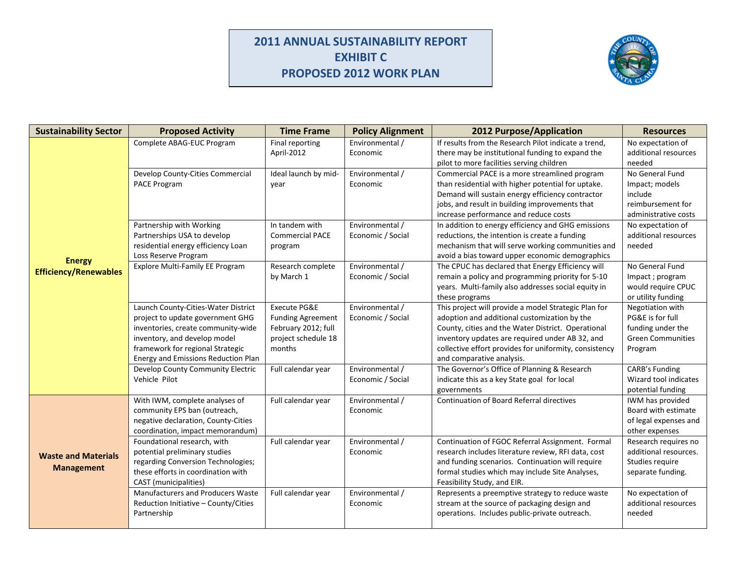## **2011 ANNUAL SUSTAINABILITY REPORT EXHIBIT C PROPOSED 2012 WORK PLAN**



| <b>Sustainability Sector</b>                    | <b>Proposed Activity</b>                                                                                                                                                                                                 | <b>Time Frame</b>                                                                                | <b>Policy Alignment</b>              | <b>2012 Purpose/Application</b>                                                                                                                                                                                                                                                                      | <b>Resources</b>                                                                                 |
|-------------------------------------------------|--------------------------------------------------------------------------------------------------------------------------------------------------------------------------------------------------------------------------|--------------------------------------------------------------------------------------------------|--------------------------------------|------------------------------------------------------------------------------------------------------------------------------------------------------------------------------------------------------------------------------------------------------------------------------------------------------|--------------------------------------------------------------------------------------------------|
|                                                 | Complete ABAG-EUC Program                                                                                                                                                                                                | Final reporting<br>April-2012                                                                    | Environmental /<br>Economic          | If results from the Research Pilot indicate a trend,<br>there may be institutional funding to expand the<br>pilot to more facilities serving children                                                                                                                                                | No expectation of<br>additional resources<br>needed                                              |
|                                                 | Develop County-Cities Commercial<br>PACE Program                                                                                                                                                                         | Ideal launch by mid-<br>year                                                                     | Environmental /<br>Economic          | Commercial PACE is a more streamlined program<br>than residential with higher potential for uptake.<br>Demand will sustain energy efficiency contractor<br>jobs, and result in building improvements that<br>increase performance and reduce costs                                                   | No General Fund<br>Impact; models<br>include<br>reimbursement for<br>administrative costs        |
|                                                 | Partnership with Working<br>Partnerships USA to develop<br>residential energy efficiency Loan<br>Loss Reserve Program                                                                                                    | In tandem with<br><b>Commercial PACE</b><br>program                                              | Environmental /<br>Economic / Social | In addition to energy efficiency and GHG emissions<br>reductions, the intention is create a funding<br>mechanism that will serve working communities and<br>avoid a bias toward upper economic demographics                                                                                          | No expectation of<br>additional resources<br>needed                                              |
| <b>Energy</b><br><b>Efficiency/Renewables</b>   | Explore Multi-Family EE Program                                                                                                                                                                                          | Research complete<br>by March 1                                                                  | Environmental /<br>Economic / Social | The CPUC has declared that Energy Efficiency will<br>remain a policy and programming priority for 5-10<br>years. Multi-family also addresses social equity in<br>these programs                                                                                                                      | No General Fund<br>Impact; program<br>would require CPUC<br>or utility funding                   |
|                                                 | Launch County-Cities-Water District<br>project to update government GHG<br>inventories, create community-wide<br>inventory, and develop model<br>framework for regional Strategic<br>Energy and Emissions Reduction Plan | Execute PG&E<br><b>Funding Agreement</b><br>February 2012; full<br>project schedule 18<br>months | Environmental /<br>Economic / Social | This project will provide a model Strategic Plan for<br>adoption and additional customization by the<br>County, cities and the Water District. Operational<br>inventory updates are required under AB 32, and<br>collective effort provides for uniformity, consistency<br>and comparative analysis. | Negotiation with<br>PG&E is for full<br>funding under the<br><b>Green Communities</b><br>Program |
|                                                 | Develop County Community Electric<br>Vehicle Pilot                                                                                                                                                                       | Full calendar year                                                                               | Environmental /<br>Economic / Social | The Governor's Office of Planning & Research<br>indicate this as a key State goal for local<br>governments                                                                                                                                                                                           | <b>CARB's Funding</b><br>Wizard tool indicates<br>potential funding                              |
|                                                 | With IWM, complete analyses of<br>community EPS ban (outreach,<br>negative declaration, County-Cities<br>coordination, impact memorandum)                                                                                | Full calendar year                                                                               | Environmental /<br>Economic          | <b>Continuation of Board Referral directives</b>                                                                                                                                                                                                                                                     | IWM has provided<br>Board with estimate<br>of legal expenses and<br>other expenses               |
| <b>Waste and Materials</b><br><b>Management</b> | Foundational research, with<br>potential preliminary studies<br>regarding Conversion Technologies;<br>these efforts in coordination with<br>CAST (municipalities)                                                        | Full calendar year                                                                               | Environmental /<br>Economic          | Continuation of FGOC Referral Assignment. Formal<br>research includes literature review, RFI data, cost<br>and funding scenarios. Continuation will require<br>formal studies which may include Site Analyses,<br>Feasibility Study, and EIR.                                                        | Research requires no<br>additional resources.<br>Studies require<br>separate funding.            |
|                                                 | <b>Manufacturers and Producers Waste</b><br>Reduction Initiative - County/Cities<br>Partnership                                                                                                                          | Full calendar year                                                                               | Environmental /<br>Economic          | Represents a preemptive strategy to reduce waste<br>stream at the source of packaging design and<br>operations. Includes public-private outreach.                                                                                                                                                    | No expectation of<br>additional resources<br>needed                                              |